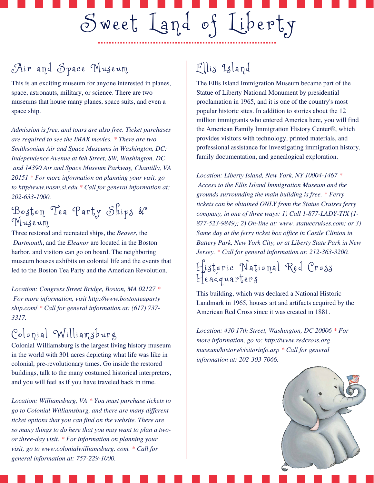# Sweet Land of Liberty

## Air and Space Museum

This is an exciting museum for anyone interested in planes, space, astronauts, military, or science. There are two museums that house many planes, space suits, and even a space ship.

*Admission is free, and tours are also free. Ticket purchases are required to see the IMAX movies. \* There are two Smithsonian Air and Space Museums in Washington, DC: Independence Avenue at 6th Street, SW, Washington, DC and 14390 Air and Space Museum Parkway, Chantilly, VA 20151 \* For more information on planning your visit, go to http/www.nasm.si.edu \* Call for general information at: 202-633-1000.*

#### Boston Tea Party Ships & Mus eum

Three restored and recreated ships, the *Beaver*, the *Dartmouth*, and the *Eleanor* are located in the Boston harbor, and visitors can go on board. The neighboring museum houses exhibits on colonial life and the events that led to the Boston Tea Party and the American Revolution.

*Location: Congress Street Bridge, Boston, MA 02127 \* For more information, visit [http://www.bostonteaparty](http://www.bostonteapartyship.com/) [ship.com](http://www.bostonteapartyship.com/)*/ *\* Call for general information at: (617) 737- 3317.*

# $Colonial$  Williamsburg

Colonial Williamsburg is the largest living history museum in the world with 301 acres depicting what life was like in colonial, pre-revolutionary times. Go inside the restored buildings, talk to the many costumed historical interpreters, and you will feel as if you have traveled back in time.

*Location: Williamsburg, VA \* You must purchase tickets to go to Colonial Williamsburg, and there are many dif erent ticket options that you can find on the website. There are so many things to do here that you may want to plan a twoor three-day visit. \* For information on planning your visit, go to www.colonialwilliamsburg. com. \* Call for general information at: 757-229-1000.*

# Ellis Island

The Ellis Island Immigration Museum became part of the Statue of Liberty National Monument by presidential proclamation in 1965, and it is one of the country's most popular historic sites. In addition to stories about the 12 million immigrants who entered America here, you will find the American Family Immigration History Center®, which provides visitors with technology, printed materials, and professional assistance for investigating immigration history, family documentation, and genealogical exploration.

*Location: Liberty Island, New York, NY 10004-1467 \* Access to the Ellis Island Immigration Museum and the grounds surrounding the main building is free. \* Ferry tickets can be obtained ONLY from the Statue Cruises ferry company, in one of three ways: 1) Call 1-877-LADY-TIX (1- 877-523-9849); 2) On-line at: www. statuecruises.com; or 3) Same day at the ferry ticket box of ice in Castle Clinton in Battery Park, New York City, or at Liberty State Park in New Jersey. \* Call for general information at: 212-363-3200.*

#### Historic National Red Cross Headquarters

This building, which was declared a National Historic Landmark in 1965, houses art and artifacts acquired by the American Red Cross since it was created in 1881.

*Location: 430 17th Street, Washington, DC 20006 \* For more information, go to: http://www.redcross.org museum/history/visitorinfo.asp \* Call for general information at: 202-303-7066.*

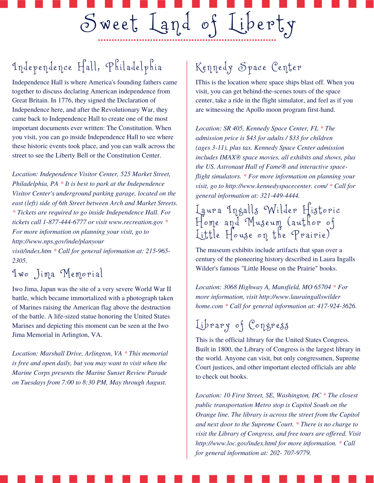# Independence Hall, Philadelphia

Independence Hall is where America's founding fathers came together to discuss declaring American independence from Great Britain. In 1776, they signed the Declaration of Independence here, and after the Revolutionary War, they came back to Independence Hall to create one of the most important documents ever written: The Constitution. When you visit, you can go inside Independence Hall to see where these historic events took place, and you can walk across the street to see the Liberty Bell or the Constitution Center.

*Location: Independence Visitor Center, 525 Market Street, Philadelphia, PA \* It is best to park at the Independence Visitor Center's underground parking garage, located on the east (left) side of 6th Street between Arch and Market Streets. \* Tickets are required to go inside Independence Hall. For tickets call 1-877-444-6777 or visit www.recreation.gov \* For more information on planning your visit, go to http://www.nps.gov/inde/planyour visit/index.htm \* Call for general information at: 215-965- 2305.*

#### Iwo Jima Memo r i a l

Iwo Jima, Japan was the site of a very severe World War II battle, which became immortalized with a photograph taken of Marines raising the American flag above the destruction of the battle. A life-sized statue honoring the United States Marines and depicting this moment can be seen at the Iwo Jima Memorial in Arlington, VA.

*Location: Marshall Drive, Arlington, VA \* This memorial is free and open daily, but you may want to visit when the Marine Corps presents the Marine Sunset Review Parade on Tuesdays from 7:00 to 8:30 PM, May through August.*

## Kennedy Space Center

Sweet Land of Liberty

IThis is the location where space ships blast off. When you visit, you can get behind-the-scenes tours of the space center, take a ride in the flight simulator, and feel as if you are witnessing the Apollo moon program first-hand.

*Location: SR 405, Kennedy Space Center, FL \* The admission price is \$43 for adults / \$33 for children (ages 3-11), plus tax. Kennedy Space Center admission includes IMAX® space movies, all exhibits and shows, plus the US. Astronaut Hall of Fame® and interactive spaceflight simulators. \* For more information on planning your visit, go to http://www.kennedyspacecenter. com/ \* Call for general information at: 321-449-4444.*

Laura Ingalls Wilder Historic Home and Museum (author of Little House on the Prairie)

The museum exhibits include artifacts that span over a century of the pioneering history described in Laura Ingalls Wilder's famous "Little House on the Prairie" books.

*Location: 3068 Highway A, Mansfield, MO 65704 \* For more information, visit http://www.lauraingallswilder home.com \* Call for general information at: 417-924-3626.*

# Library of Congress

This is the official library for the United States Congress. Built in 1800, the Library of Congress is the largest library in the world. Anyone can visit, but only congressmen, Supreme Court justices, and other important elected officials are able to check out books.

*Location: 10 First Street, SE, Washington, DC \* The closest public transportation Metro stop is Capitol South on the Orange line. The library is across the street from the Capitol and next door to the Supreme Court. \* There is no charge to visit the Library of Congress, and free tours are of ered. Visit http://www.loc.gov/index.html for more information. \* Call for general information at: 202- 707-9779.*